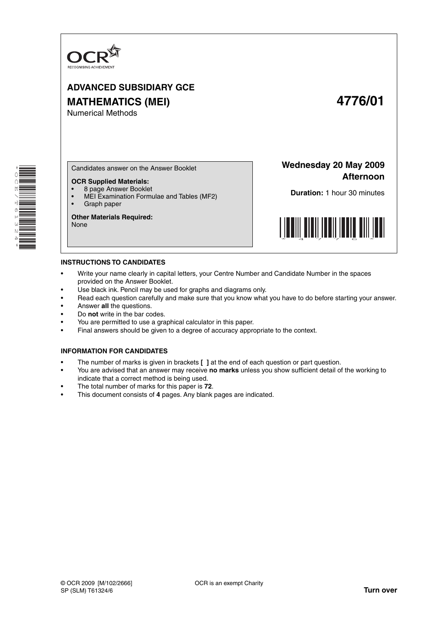

Numerical Methods

# **ADVANCED SUBSIDIARY GCE MATHEMATICS (MEI) 4776/01**

\*OCE/T61324\*  Candidates answer on the Answer Booklet

# **OCR Supplied Materials:**

- 8 page Answer Booklet
- MEI Examination Formulae and Tables (MF2)
- Graph paper

#### **Other Materials Required:** None

**Wednesday 20 May 2009 Afternoon**

**Duration:** 1 hour 30 minutes



### **INSTRUCTIONS TO CANDIDATES**

- Write your name clearly in capital letters, your Centre Number and Candidate Number in the spaces provided on the Answer Booklet.
- Use black ink. Pencil may be used for graphs and diagrams only.
- Read each question carefully and make sure that you know what you have to do before starting your answer.
- Answer **all** the questions.
- Do **not** write in the bar codes.
- You are permitted to use a graphical calculator in this paper.
- Final answers should be given to a degree of accuracy appropriate to the context.

#### **INFORMATION FOR CANDIDATES**

- The number of marks is given in brackets **[ ]** at the end of each question or part question.
- You are advised that an answer may receive **no marks** unless you show sufficient detail of the working to indicate that a correct method is being used.
- The total number of marks for this paper is **72**.
- This document consists of **4** pages. Any blank pages are indicated.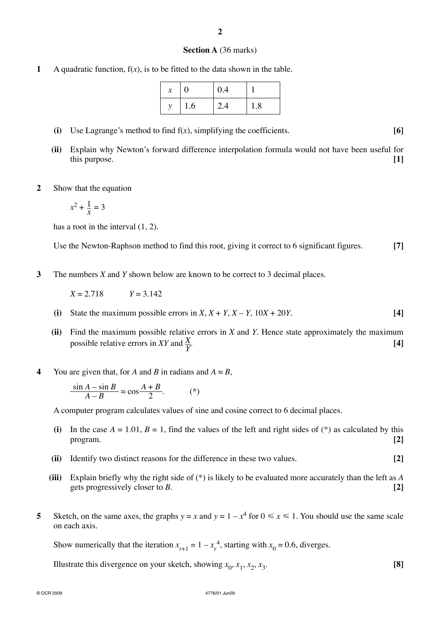#### **Section A** (36 marks)

**1** A quadratic function,  $f(x)$ , is to be fitted to the data shown in the table.

| $\mathcal{X}$ | 0   | 0.4 |     |
|---------------|-----|-----|-----|
|               | 1.6 | 2.4 | 1.8 |

- **(i)** Use Lagrange's method to find f(*x*), simplifying the coefficients. **[6]**
- **(ii)** Explain why Newton's forward difference interpolation formula would not have been useful for this purpose. **[1]**
- **2** Show that the equation

$$
x^2 + \frac{1}{x} = 3
$$

has a root in the interval (1, 2).

Use the Newton-Raphson method to find this root, giving it correct to 6 significant figures. **[7]**

**3** The numbers *X* and *Y* shown below are known to be correct to 3 decimal places.

 $X = 2.718$   $Y = 3.142$ 

- **(i)** State the maximum possible errors in  $X$ ,  $X + Y$ ,  $X Y$ ,  $10X + 20Y$ . [4]
- **(ii)** Find the maximum possible relative errors in *X* and *Y*. Hence state approximately the maximum possible relative errors in *XY* and *X Y* . **[4]**
- **4** You are given that, for *A* and *B* in radians and  $A \approx B$ ,

$$
\frac{\sin A - \sin B}{A - B} \approx \cos \frac{A + B}{2}.
$$
 (\*)

A computer program calculates values of sine and cosine correct to 6 decimal places.

- (i) In the case  $A = 1.01$ ,  $B = 1$ , find the values of the left and right sides of (\*) as calculated by this program. **[2]**
- **(ii)** Identify two distinct reasons for the difference in these two values. **[2]**
- **(iii)** Explain briefly why the right side of (\*) is likely to be evaluated more accurately than the left as *A* gets progressively closer to *B*. **[2]**
- **5** Sketch, on the same axes, the graphs  $y = x$  and  $y = 1 x^4$  for  $0 \le x \le 1$ . You should use the same scale on each axis.

Show numerically that the iteration  $x_{r+1} = 1 - x_r^4$ , starting with  $x_0 = 0.6$ , diverges.

Illustrate this divergence on your sketch, showing  $x_0$ ,  $x_1$ ,  $x_2$ ,  $x_3$ . **[8]**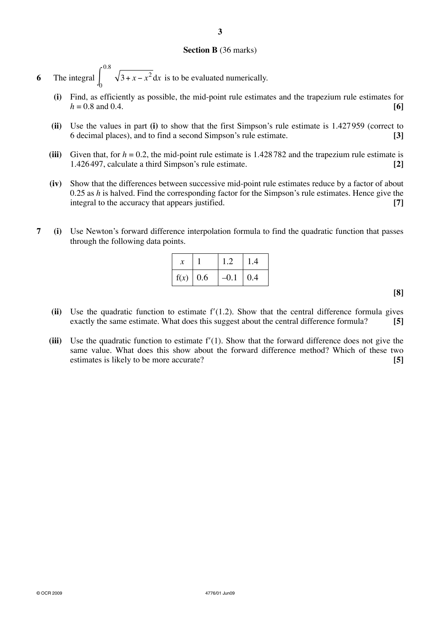## **Section B** (36 marks)

**6** The integral  $\int_{0}^{0.8}$ 0  $3 + x - x^2 dx$  is to be evaluated numerically.

- **(i)** Find, as efficiently as possible, the mid-point rule estimates and the trapezium rule estimates for *h* = 0.8 and 0.4. **[6]**
- **(ii)** Use the values in part **(i)** to show that the first Simpson's rule estimate is 1.427 959 (correct to 6 decimal places), and to find a second Simpson's rule estimate. **[3]**
- **(iii)** Given that, for  $h = 0.2$ , the mid-point rule estimate is 1.428782 and the trapezium rule estimate is 1.426 497, calculate a third Simpson's rule estimate. **[2]**
- **(iv)** Show that the differences between successive mid-point rule estimates reduce by a factor of about 0.25 as *h* is halved. Find the corresponding factor for the Simpson's rule estimates. Hence give the integral to the accuracy that appears justified. **[7]**
- **7 (i)** Use Newton's forward difference interpolation formula to find the quadratic function that passes through the following data points.

|            | 1.2          | $\vert$ 1.4 |
|------------|--------------|-------------|
| f(x)   0.6 | $-0.1$   0.4 |             |

**[8]**

- $(iii)$  Use the quadratic function to estimate  $f'(1.2)$ . Show that the central difference formula gives exactly the same estimate. What does this suggest about the central difference formula? **[5]**
- $(iii)$  Use the quadratic function to estimate  $f'(1)$ . Show that the forward difference does not give the same value. What does this show about the forward difference method? Which of these two estimates is likely to be more accurate? **[5]**